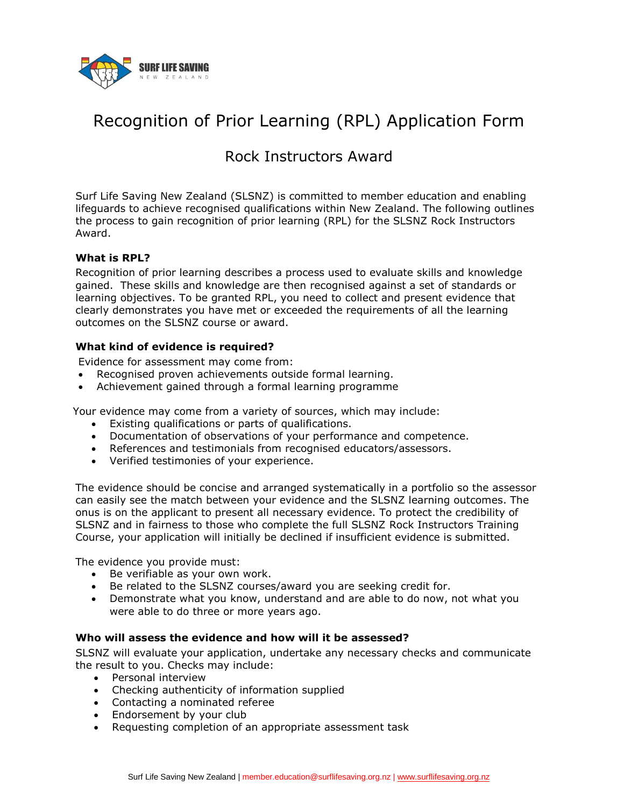

# Recognition of Prior Learning (RPL) Application Form

## Rock Instructors Award

Surf Life Saving New Zealand (SLSNZ) is committed to member education and enabling lifeguards to achieve recognised qualifications within New Zealand. The following outlines the process to gain recognition of prior learning (RPL) for the SLSNZ Rock Instructors Award.

### **What is RPL?**

Recognition of prior learning describes a process used to evaluate skills and knowledge gained. These skills and knowledge are then recognised against a set of standards or learning objectives. To be granted RPL, you need to collect and present evidence that clearly demonstrates you have met or exceeded the requirements of all the learning outcomes on the SLSNZ course or award.

## **What kind of evidence is required?**

Evidence for assessment may come from:

- Recognised proven achievements outside formal learning.
- Achievement gained through a formal learning programme

Your evidence may come from a variety of sources, which may include:

- Existing qualifications or parts of qualifications.
- Documentation of observations of your performance and competence.
- References and testimonials from recognised educators/assessors.
- Verified testimonies of your experience.

The evidence should be concise and arranged systematically in a portfolio so the assessor can easily see the match between your evidence and the SLSNZ learning outcomes. The onus is on the applicant to present all necessary evidence. To protect the credibility of SLSNZ and in fairness to those who complete the full SLSNZ Rock Instructors Training Course, your application will initially be declined if insufficient evidence is submitted.

The evidence you provide must:

- Be verifiable as your own work.
- Be related to the SLSNZ courses/award you are seeking credit for.
- Demonstrate what you know, understand and are able to do now, not what you were able to do three or more years ago.

### **Who will assess the evidence and how will it be assessed?**

SLSNZ will evaluate your application, undertake any necessary checks and communicate the result to you. Checks may include:

- Personal interview
- Checking authenticity of information supplied
- Contacting a nominated referee
- Endorsement by your club
- Requesting completion of an appropriate assessment task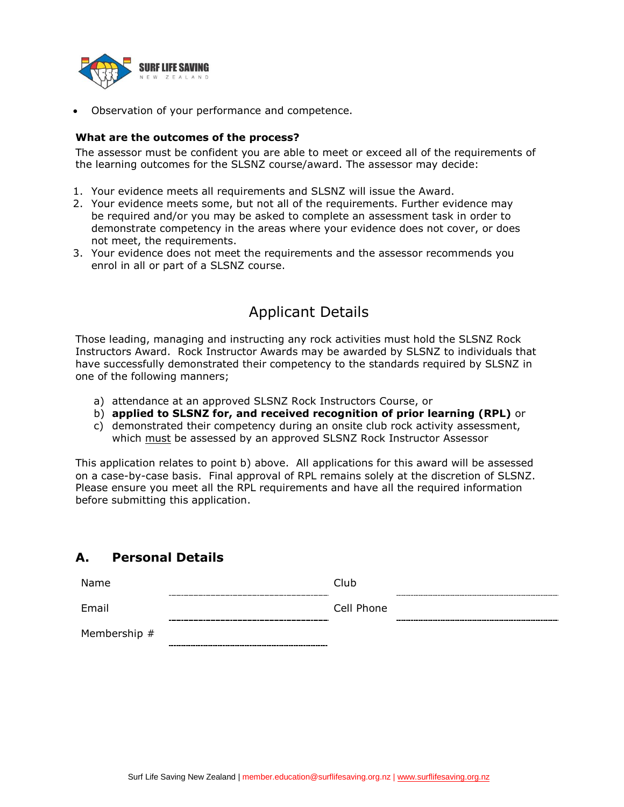

Observation of your performance and competence.

#### **What are the outcomes of the process?**

The assessor must be confident you are able to meet or exceed all of the requirements of the learning outcomes for the SLSNZ course/award. The assessor may decide:

- 1. Your evidence meets all requirements and SLSNZ will issue the Award.
- 2. Your evidence meets some, but not all of the requirements. Further evidence may be required and/or you may be asked to complete an assessment task in order to demonstrate competency in the areas where your evidence does not cover, or does not meet, the requirements.
- 3. Your evidence does not meet the requirements and the assessor recommends you enrol in all or part of a SLSNZ course.

## Applicant Details

Those leading, managing and instructing any rock activities must hold the SLSNZ Rock Instructors Award. Rock Instructor Awards may be awarded by SLSNZ to individuals that have successfully demonstrated their competency to the standards required by SLSNZ in one of the following manners;

- a) attendance at an approved SLSNZ Rock Instructors Course, or
- b) **applied to SLSNZ for, and received recognition of prior learning (RPL)** or
- c) demonstrated their competency during an onsite club rock activity assessment, which must be assessed by an approved SLSNZ Rock Instructor Assessor

This application relates to point b) above. All applications for this award will be assessed on a case-by-case basis. Final approval of RPL remains solely at the discretion of SLSNZ. Please ensure you meet all the RPL requirements and have all the required information before submitting this application.

## **A. Personal Details**

| Name         | Club       |  |
|--------------|------------|--|
| Email        | Cell Phone |  |
| Membership # |            |  |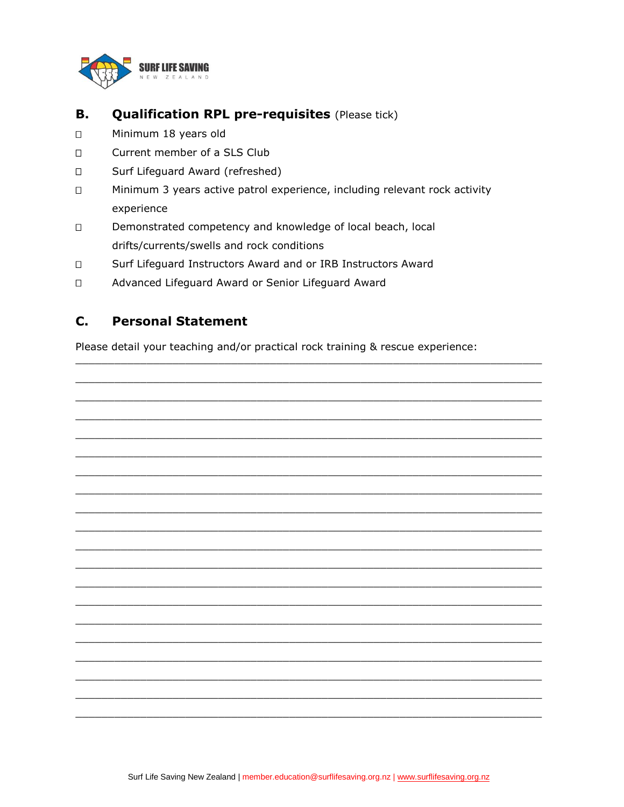

#### **Qualification RPL pre-requisites (Please tick) B.**

- $\Box$ Minimum 18 years old
- $\Box$ Current member of a SLS Club
- Surf Lifeguard Award (refreshed)  $\Box$
- $\Box$ Minimum 3 years active patrol experience, including relevant rock activity experience
- Demonstrated competency and knowledge of local beach, local  $\Box$ drifts/currents/swells and rock conditions
- $\Box$ Surf Lifeguard Instructors Award and or IRB Instructors Award
- $\Box$ Advanced Lifeguard Award or Senior Lifeguard Award

#### $C_{-}$ **Personal Statement**

Please detail your teaching and/or practical rock training & rescue experience:

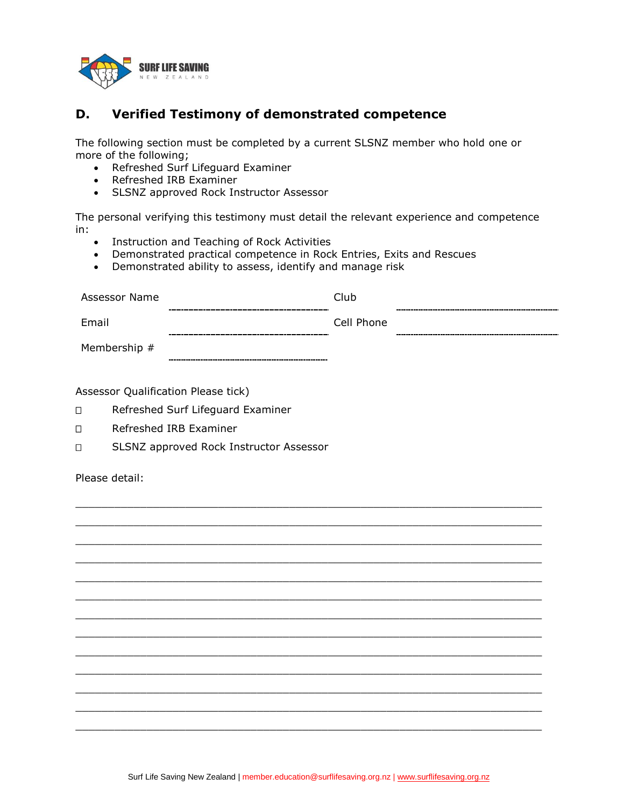

## **D. Verified Testimony of demonstrated competence**

The following section must be completed by a current SLSNZ member who hold one or more of the following;

- Refreshed Surf Lifeguard Examiner
- Refreshed IRB Examiner
- SLSNZ approved Rock Instructor Assessor

The personal verifying this testimony must detail the relevant experience and competence in:

- **•** Instruction and Teaching of Rock Activities
- Demonstrated practical competence in Rock Entries, Exits and Rescues

Demonstrated ability to assess, identify and manage risk

| Assessor Name | Club       |  |
|---------------|------------|--|
|               |            |  |
| Email         | Cell Phone |  |
|               |            |  |
| Membership #  |            |  |

 $\_$  , and the set of the set of the set of the set of the set of the set of the set of the set of the set of the set of the set of the set of the set of the set of the set of the set of the set of the set of the set of th  $\_$  , and the set of the set of the set of the set of the set of the set of the set of the set of the set of the set of the set of the set of the set of the set of the set of the set of the set of the set of the set of th  $\_$  , and the set of the set of the set of the set of the set of the set of the set of the set of the set of the set of the set of the set of the set of the set of the set of the set of the set of the set of the set of th  $\_$  , and the set of the set of the set of the set of the set of the set of the set of the set of the set of the set of the set of the set of the set of the set of the set of the set of the set of the set of the set of th  $\_$  , and the set of the set of the set of the set of the set of the set of the set of the set of the set of the set of the set of the set of the set of the set of the set of the set of the set of the set of the set of th  $\_$  , and the set of the set of the set of the set of the set of the set of the set of the set of the set of the set of the set of the set of the set of the set of the set of the set of the set of the set of the set of th  $\_$  , and the set of the set of the set of the set of the set of the set of the set of the set of the set of the set of the set of the set of the set of the set of the set of the set of the set of the set of the set of th  $\_$  , and the set of the set of the set of the set of the set of the set of the set of the set of the set of the set of the set of the set of the set of the set of the set of the set of the set of the set of the set of th  $\_$  , and the set of the set of the set of the set of the set of the set of the set of the set of the set of the set of the set of the set of the set of the set of the set of the set of the set of the set of the set of th  $\_$  , and the set of the set of the set of the set of the set of the set of the set of the set of the set of the set of the set of the set of the set of the set of the set of the set of the set of the set of the set of th  $\_$  , and the set of the set of the set of the set of the set of the set of the set of the set of the set of the set of the set of the set of the set of the set of the set of the set of the set of the set of the set of th  $\_$  , and the set of the set of the set of the set of the set of the set of the set of the set of the set of the set of the set of the set of the set of the set of the set of the set of the set of the set of the set of th  $\_$  , and the set of the set of the set of the set of the set of the set of the set of the set of the set of the set of the set of the set of the set of the set of the set of the set of the set of the set of the set of th

Assessor Qualification Please tick)

- □ Refreshed Surf Lifeguard Examiner
- □ Refreshed IRB Examiner
- □ SLSNZ approved Rock Instructor Assessor

Please detail: